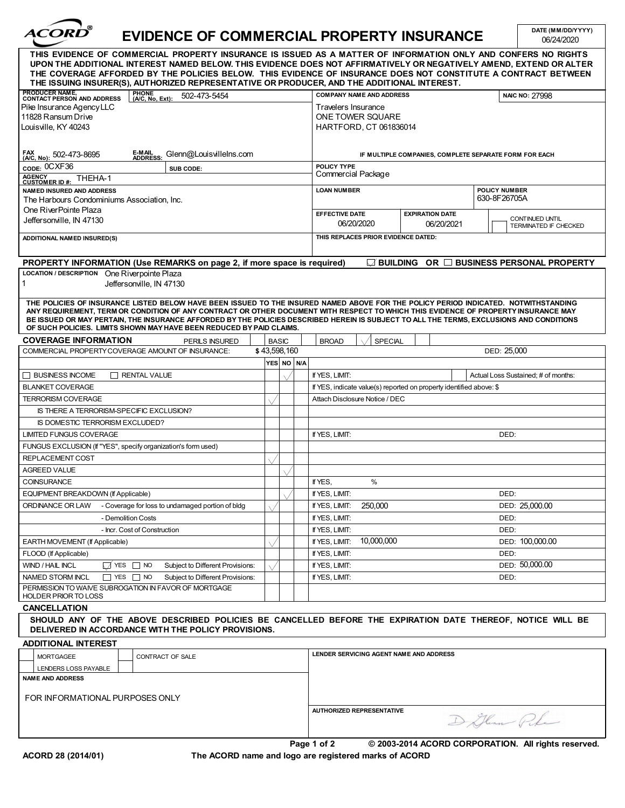| <i><b>ACORD</b></i> |
|---------------------|
|                     |

## **EVIDENCE OF COMMERCIAL PROPERTY INSURANCE**

06/24/2020 **DATE (MM/DD/YYYY)**

| THE ISSUING INSURER(S), AUTHORIZED REPRESENTATIVE OR PRODUCER, AND THE ADDITIONAL INTEREST.<br><b>COMPANY NAME AND ADDRESS</b><br>NAIC NO: 27998<br>ONE TOWER SQUARE<br><b>HARTFORD, CT 061836014</b><br>IF MULTIPLE COMPANIES, COMPLETE SEPARATE FORM FOR EACH<br>Commercial Package<br>POLICY NUMBER<br>630-8F26705A<br><b>EXPIRATION DATE</b><br>CONTINUED UNTIL<br>06/20/2021<br>TERMINATED IF CHECKED<br>THIS REPLACES PRIOR EVIDENCE DATED:<br>$\Box$ building or $\Box$ business personal property<br>THE POLICIES OF INSURANCE LISTED BELOW HAVE BEEN ISSUED TO THE INSURED NAMED ABOVE FOR THE POLICY PERIOD INDICATED. NOTWITHSTANDING<br>ANY REQUIREMENT. TERM OR CONDITION OF ANY CONTRACT OR OTHER DOCUMENT WITH RESPECT TO WHICH THIS EVIDENCE OF PROPERTY INSURANCE MAY<br>BE ISSUED OR MAY PERTAIN, THE INSURANCE AFFORDED BY THE POLICIES DESCRIBED HEREIN IS SUBJECT TO ALL THE TERMS, EXCLUSIONS AND CONDITIONS |
|------------------------------------------------------------------------------------------------------------------------------------------------------------------------------------------------------------------------------------------------------------------------------------------------------------------------------------------------------------------------------------------------------------------------------------------------------------------------------------------------------------------------------------------------------------------------------------------------------------------------------------------------------------------------------------------------------------------------------------------------------------------------------------------------------------------------------------------------------------------------------------------------------------------------------------|
|                                                                                                                                                                                                                                                                                                                                                                                                                                                                                                                                                                                                                                                                                                                                                                                                                                                                                                                                    |
|                                                                                                                                                                                                                                                                                                                                                                                                                                                                                                                                                                                                                                                                                                                                                                                                                                                                                                                                    |
|                                                                                                                                                                                                                                                                                                                                                                                                                                                                                                                                                                                                                                                                                                                                                                                                                                                                                                                                    |
|                                                                                                                                                                                                                                                                                                                                                                                                                                                                                                                                                                                                                                                                                                                                                                                                                                                                                                                                    |
|                                                                                                                                                                                                                                                                                                                                                                                                                                                                                                                                                                                                                                                                                                                                                                                                                                                                                                                                    |
|                                                                                                                                                                                                                                                                                                                                                                                                                                                                                                                                                                                                                                                                                                                                                                                                                                                                                                                                    |
|                                                                                                                                                                                                                                                                                                                                                                                                                                                                                                                                                                                                                                                                                                                                                                                                                                                                                                                                    |
|                                                                                                                                                                                                                                                                                                                                                                                                                                                                                                                                                                                                                                                                                                                                                                                                                                                                                                                                    |
|                                                                                                                                                                                                                                                                                                                                                                                                                                                                                                                                                                                                                                                                                                                                                                                                                                                                                                                                    |
|                                                                                                                                                                                                                                                                                                                                                                                                                                                                                                                                                                                                                                                                                                                                                                                                                                                                                                                                    |
|                                                                                                                                                                                                                                                                                                                                                                                                                                                                                                                                                                                                                                                                                                                                                                                                                                                                                                                                    |
|                                                                                                                                                                                                                                                                                                                                                                                                                                                                                                                                                                                                                                                                                                                                                                                                                                                                                                                                    |
|                                                                                                                                                                                                                                                                                                                                                                                                                                                                                                                                                                                                                                                                                                                                                                                                                                                                                                                                    |
|                                                                                                                                                                                                                                                                                                                                                                                                                                                                                                                                                                                                                                                                                                                                                                                                                                                                                                                                    |
|                                                                                                                                                                                                                                                                                                                                                                                                                                                                                                                                                                                                                                                                                                                                                                                                                                                                                                                                    |
| SPECIAL                                                                                                                                                                                                                                                                                                                                                                                                                                                                                                                                                                                                                                                                                                                                                                                                                                                                                                                            |
| DED: 25,000                                                                                                                                                                                                                                                                                                                                                                                                                                                                                                                                                                                                                                                                                                                                                                                                                                                                                                                        |
|                                                                                                                                                                                                                                                                                                                                                                                                                                                                                                                                                                                                                                                                                                                                                                                                                                                                                                                                    |
| Actual Loss Sustained; # of months:                                                                                                                                                                                                                                                                                                                                                                                                                                                                                                                                                                                                                                                                                                                                                                                                                                                                                                |
| If YES, indicate value(s) reported on property identified above: \$                                                                                                                                                                                                                                                                                                                                                                                                                                                                                                                                                                                                                                                                                                                                                                                                                                                                |
| Attach Disclosure Notice / DEC                                                                                                                                                                                                                                                                                                                                                                                                                                                                                                                                                                                                                                                                                                                                                                                                                                                                                                     |
|                                                                                                                                                                                                                                                                                                                                                                                                                                                                                                                                                                                                                                                                                                                                                                                                                                                                                                                                    |
|                                                                                                                                                                                                                                                                                                                                                                                                                                                                                                                                                                                                                                                                                                                                                                                                                                                                                                                                    |
| DED:                                                                                                                                                                                                                                                                                                                                                                                                                                                                                                                                                                                                                                                                                                                                                                                                                                                                                                                               |
|                                                                                                                                                                                                                                                                                                                                                                                                                                                                                                                                                                                                                                                                                                                                                                                                                                                                                                                                    |
|                                                                                                                                                                                                                                                                                                                                                                                                                                                                                                                                                                                                                                                                                                                                                                                                                                                                                                                                    |
|                                                                                                                                                                                                                                                                                                                                                                                                                                                                                                                                                                                                                                                                                                                                                                                                                                                                                                                                    |
|                                                                                                                                                                                                                                                                                                                                                                                                                                                                                                                                                                                                                                                                                                                                                                                                                                                                                                                                    |
| DED:                                                                                                                                                                                                                                                                                                                                                                                                                                                                                                                                                                                                                                                                                                                                                                                                                                                                                                                               |
| 250,000<br>DED: 25,000.00                                                                                                                                                                                                                                                                                                                                                                                                                                                                                                                                                                                                                                                                                                                                                                                                                                                                                                          |
| DED:                                                                                                                                                                                                                                                                                                                                                                                                                                                                                                                                                                                                                                                                                                                                                                                                                                                                                                                               |
| DED:                                                                                                                                                                                                                                                                                                                                                                                                                                                                                                                                                                                                                                                                                                                                                                                                                                                                                                                               |
| 10,000,000<br>DED: 100,000.00                                                                                                                                                                                                                                                                                                                                                                                                                                                                                                                                                                                                                                                                                                                                                                                                                                                                                                      |
| DED:                                                                                                                                                                                                                                                                                                                                                                                                                                                                                                                                                                                                                                                                                                                                                                                                                                                                                                                               |
| DED: 50,000.00                                                                                                                                                                                                                                                                                                                                                                                                                                                                                                                                                                                                                                                                                                                                                                                                                                                                                                                     |
|                                                                                                                                                                                                                                                                                                                                                                                                                                                                                                                                                                                                                                                                                                                                                                                                                                                                                                                                    |
| DED:                                                                                                                                                                                                                                                                                                                                                                                                                                                                                                                                                                                                                                                                                                                                                                                                                                                                                                                               |
|                                                                                                                                                                                                                                                                                                                                                                                                                                                                                                                                                                                                                                                                                                                                                                                                                                                                                                                                    |
|                                                                                                                                                                                                                                                                                                                                                                                                                                                                                                                                                                                                                                                                                                                                                                                                                                                                                                                                    |
|                                                                                                                                                                                                                                                                                                                                                                                                                                                                                                                                                                                                                                                                                                                                                                                                                                                                                                                                    |
| SHOULD ANY OF THE ABOVE DESCRIBED POLICIES BE CANCELLED BEFORE THE EXPIRATION DATE THEREOF, NOTICE WILL BE                                                                                                                                                                                                                                                                                                                                                                                                                                                                                                                                                                                                                                                                                                                                                                                                                         |
|                                                                                                                                                                                                                                                                                                                                                                                                                                                                                                                                                                                                                                                                                                                                                                                                                                                                                                                                    |
| LENDER SERVICING AGENT NAME AND ADDRESS                                                                                                                                                                                                                                                                                                                                                                                                                                                                                                                                                                                                                                                                                                                                                                                                                                                                                            |
|                                                                                                                                                                                                                                                                                                                                                                                                                                                                                                                                                                                                                                                                                                                                                                                                                                                                                                                                    |
|                                                                                                                                                                                                                                                                                                                                                                                                                                                                                                                                                                                                                                                                                                                                                                                                                                                                                                                                    |
| <b>AUTHORIZED REPRESENTATIVE</b>                                                                                                                                                                                                                                                                                                                                                                                                                                                                                                                                                                                                                                                                                                                                                                                                                                                                                                   |
|                                                                                                                                                                                                                                                                                                                                                                                                                                                                                                                                                                                                                                                                                                                                                                                                                                                                                                                                    |

**ACORD 28 (2014/01) The ACORD name and logo are registered marks of ACORD**